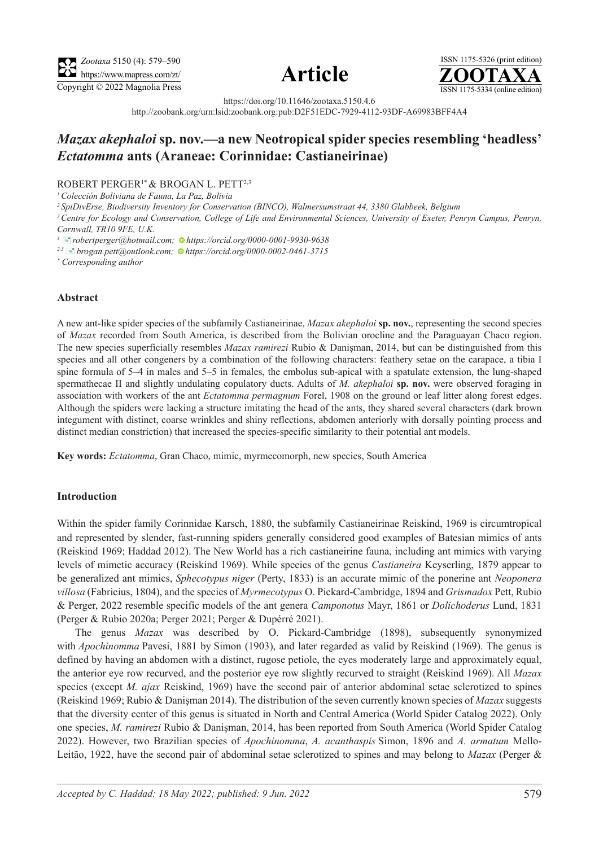





https://doi.org/10.11646/zootaxa.5150.4.6

http://zoobank.org/urn:lsid:zoobank.org:pub:D2F51EDC-7929-4112-93DF-A69983BFF4A4

# *Mazax akephaloi* **sp. nov.—a new Neotropical spider species resembling 'headless'** *Ectatomma* **ants (Araneae: Corinnidae: Castianeirinae)**

### ROBERT PERGER1\* & BROGAN L. PETT2,3

*1 Colección Boliviana de Fauna, La Paz, Bolivia* 

*<sup>2</sup> SpiDivErse, Biodiversity Inventory for Conservation (BINCO), Walmersumstraat 44, 3380 Glabbeek, Belgium*

*3Centre for Ecology and Conservation, College of Life and Environmental Sciences, University of Exeter, Penryn Campus, Penryn, Cornwall, TR10 9FE, U.K.* 

*<sup>1</sup>*[�](mailto:robertperger@hotmail.com)*robertperger@hotmail.com[; h](https://orcid.org/0000-0001-9930-9638)ttps://orcid.org/0000-0001-9930-9638*

*2,3* [�](mailto:brogan.pett@outlook.com)*brogan.pett@outlook.com[; h](https://orcid.org/0000-0002-0461-3715)ttps://orcid.org/0000-0002-0461-3715*

*\* Corresponding author* 

### **Abstract**

A new ant-like spider species of the subfamily Castianeirinae, *Mazax akephaloi* **sp. nov.**, representing the second species of *Mazax* recorded from South America, is described from the Bolivian orocline and the Paraguayan Chaco region. The new species superficially resembles *Mazax ramirezi* Rubio & Danişman, 2014, but can be distinguished from this species and all other congeners by a combination of the following characters: feathery setae on the carapace, a tibia I spine formula of 5–4 in males and 5–5 in females, the embolus sub-apical with a spatulate extension, the lung-shaped spermathecae II and slightly undulating copulatory ducts. Adults of *M. akephaloi* **sp. nov.** were observed foraging in association with workers of the ant *Ectatomma permagnum* Forel, 1908 on the ground or leaf litter along forest edges. Although the spiders were lacking a structure imitating the head of the ants, they shared several characters (dark brown integument with distinct, coarse wrinkles and shiny reflections, abdomen anteriorly with dorsally pointing process and distinct median constriction) that increased the species-specific similarity to their potential ant models.

**Key words:** *Ectatomma*, Gran Chaco, mimic, myrmecomorph, new species, South America

### **Introduction**

Within the spider family Corinnidae Karsch, 1880, the subfamily Castianeirinae Reiskind, 1969 is circumtropical and represented by slender, fast-running spiders generally considered good examples of Batesian mimics of ants (Reiskind 1969; Haddad 2012). The New World has a rich castianeirine fauna, including ant mimics with varying levels of mimetic accuracy (Reiskind 1969). While species of the genus *Castianeira* Keyserling, 1879 appear to be generalized ant mimics, *Sphecotypus niger* (Perty, 1833) is an accurate mimic of the ponerine ant *Neoponera villosa* (Fabricius, 1804), and the species of *Myrmecotypus* O. Pickard-Cambridge, 1894 and *Grismadox* Pett, Rubio & Perger, 2022 resemble specific models of the ant genera *Camponotus* Mayr, 1861 or *Dolichoderus* Lund, 1831 (Perger & Rubio 2020a; Perger 2021; Perger & Dupérré 2021).

The genus *Mazax* was described by O. Pickard-Cambridge (1898), subsequently synonymized with *Apochinomma* Pavesi, 1881 by Simon (1903), and later regarded as valid by Reiskind (1969). The genus is defined by having an abdomen with a distinct, rugose petiole, the eyes moderately large and approximately equal, the anterior eye row recurved, and the posterior eye row slightly recurved to straight (Reiskind 1969). All *Mazax* species (except *M. ajax* Reiskind, 1969) have the second pair of anterior abdominal setae sclerotized to spines (Reiskind 1969; Rubio & Danişman 2014). The distribution of the seven currently known species of *Mazax* suggests that the diversity center of this genus is situated in North and Central America (World Spider Catalog 2022). Only one species, *M. ramirezi* Rubio & Danişman, 2014, has been reported from South America (World Spider Catalog 2022). However, two Brazilian species of *Apochinomma*, *A. acanthaspis* Simon, 1896 and *A. armatum* Mello-Leitão, 1922, have the second pair of abdominal setae sclerotized to spines and may belong to *Mazax* (Perger &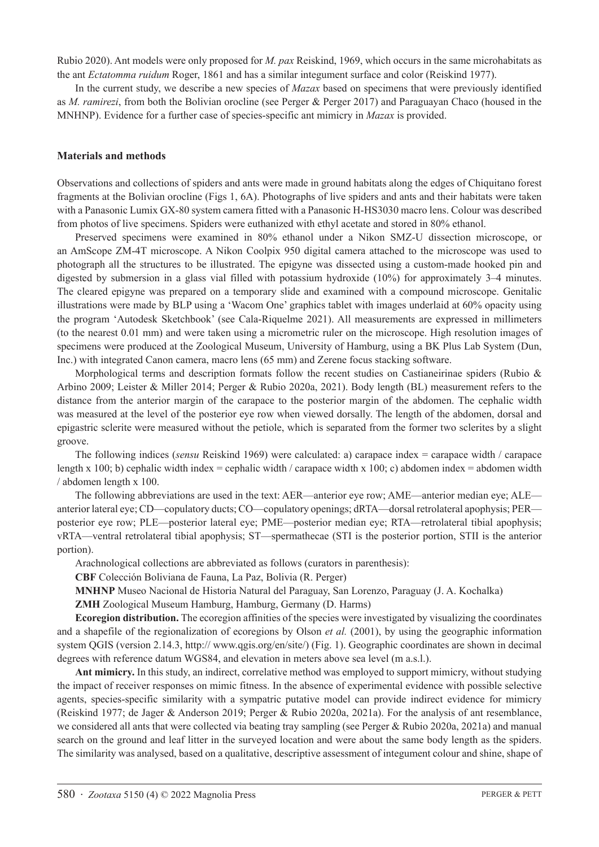Rubio 2020). Ant models were only proposed for *M. pax* Reiskind, 1969, which occurs in the same microhabitats as the ant *Ectatomma ruidum* Roger, 1861 and has a similar integument surface and color (Reiskind 1977).

In the current study, we describe a new species of *Mazax* based on specimens that were previously identified as *M. ramirezi*, from both the Bolivian orocline (see Perger & Perger 2017) and Paraguayan Chaco (housed in the MNHNP). Evidence for a further case of species-specific ant mimicry in *Mazax* is provided.

#### **Materials and methods**

Observations and collections of spiders and ants were made in ground habitats along the edges of Chiquitano forest fragments at the Bolivian orocline (Figs 1, 6A). Photographs of live spiders and ants and their habitats were taken with a Panasonic Lumix GX-80 system camera fitted with a Panasonic H-HS3030 macro lens. Colour was described from photos of live specimens. Spiders were euthanized with ethyl acetate and stored in 80% ethanol.

Preserved specimens were examined in 80% ethanol under a Nikon SMZ-U dissection microscope, or an AmScope ZM-4T microscope. A Nikon Coolpix 950 digital camera attached to the microscope was used to photograph all the structures to be illustrated. The epigyne was dissected using a custom-made hooked pin and digested by submersion in a glass vial filled with potassium hydroxide (10%) for approximately 3–4 minutes. The cleared epigyne was prepared on a temporary slide and examined with a compound microscope. Genitalic illustrations were made by BLP using a 'Wacom One' graphics tablet with images underlaid at 60% opacity using the program 'Autodesk Sketchbook' (see Cala-Riquelme 2021). All measurements are expressed in millimeters (to the nearest 0.01 mm) and were taken using a micrometric ruler on the microscope. High resolution images of specimens were produced at the Zoological Museum, University of Hamburg, using a BK Plus Lab System (Dun, Inc.) with integrated Canon camera, macro lens (65 mm) and Zerene focus stacking software.

Morphological terms and description formats follow the recent studies on Castianeirinae spiders (Rubio  $\&$ Arbino 2009; Leister & Miller 2014; Perger & Rubio 2020a, 2021). Body length (BL) measurement refers to the distance from the anterior margin of the carapace to the posterior margin of the abdomen. The cephalic width was measured at the level of the posterior eye row when viewed dorsally. The length of the abdomen, dorsal and epigastric sclerite were measured without the petiole, which is separated from the former two sclerites by a slight groove.

The following indices (*sensu* Reiskind 1969) were calculated: a) carapace index = carapace width / carapace length x 100; b) cephalic width index = cephalic width / carapace width x 100; c) abdomen index = abdomen width / abdomen length x 100.

The following abbreviations are used in the text: AER—anterior eye row; AME—anterior median eye; ALE anterior lateral eye; CD—copulatory ducts; CO—copulatory openings; dRTA—dorsal retrolateral apophysis; PER posterior eye row; PLE—posterior lateral eye; PME—posterior median eye; RTA—retrolateral tibial apophysis; vRTA—ventral retrolateral tibial apophysis; ST—spermathecae (STI is the posterior portion, STII is the anterior portion).

Arachnological collections are abbreviated as follows (curators in parenthesis):

**CBF** Colección Boliviana de Fauna, La Paz, Bolivia (R. Perger)

**MNHNP** Museo Nacional de Historia Natural del Paraguay, San Lorenzo, Paraguay (J. A. Kochalka)

**ZMH** Zoological Museum Hamburg, Hamburg, Germany (D. Harms)

**Ecoregion distribution.** The ecoregion affinities of the species were investigated by visualizing the coordinates and a shapefile of the regionalization of ecoregions by Olson *et al.* (2001), by using the geographic information system QGIS (version 2.14.3, http:// www.qgis.org/en/site/) (Fig. 1). Geographic coordinates are shown in decimal degrees with reference datum WGS84, and elevation in meters above sea level (m a.s.l.).

**Ant mimicry.** In this study, an indirect, correlative method was employed to support mimicry, without studying the impact of receiver responses on mimic fitness. In the absence of experimental evidence with possible selective agents, species-specific similarity with a sympatric putative model can provide indirect evidence for mimicry (Reiskind 1977; de Jager & Anderson 2019; Perger & Rubio 2020a, 2021a). For the analysis of ant resemblance, we considered all ants that were collected via beating tray sampling (see Perger & Rubio 2020a, 2021a) and manual search on the ground and leaf litter in the surveyed location and were about the same body length as the spiders. The similarity was analysed, based on a qualitative, descriptive assessment of integument colour and shine, shape of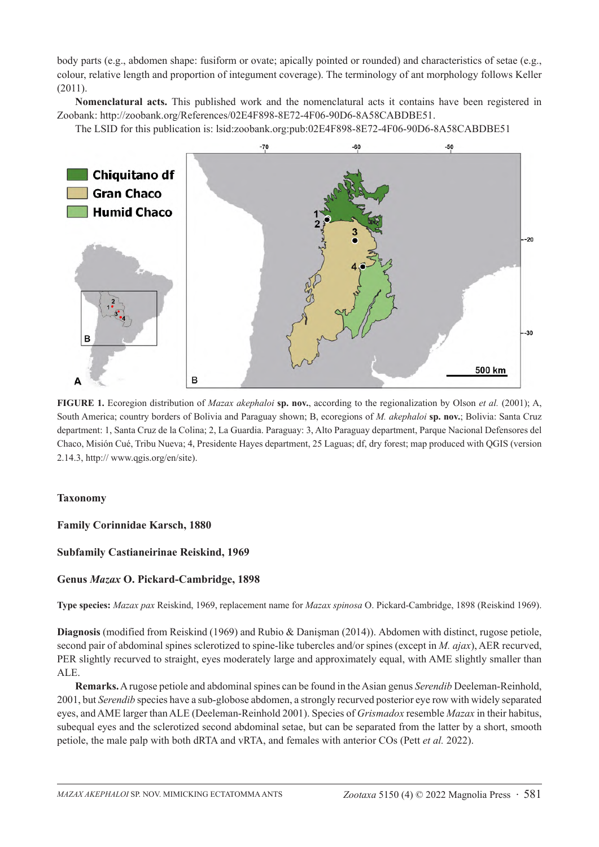body parts (e.g., abdomen shape: fusiform or ovate; apically pointed or rounded) and characteristics of setae (e.g., colour, relative length and proportion of integument coverage). The terminology of ant morphology follows Keller  $(2011)$ 

**Nomenclatural acts.** This published work and the nomenclatural acts it contains have been registered in Zoobank: http://zoobank.org/References/02E4F898-8E72-4F06-90D6-8A58CABDBE51.

The LSID for this publication is: lsid:zoobank.org:pub:02E4F898-8E72-4F06-90D6-8A58CABDBE51



**FIGURE 1.** Ecoregion distribution of *Mazax akephaloi* **sp. nov.**, according to the regionalization by Olson *et al.* (2001); A, South America; country borders of Bolivia and Paraguay shown; B, ecoregions of *M. akephaloi* **sp. nov.**; Bolivia: Santa Cruz department: 1, Santa Cruz de la Colina; 2, La Guardia. Paraguay: 3, Alto Paraguay department, Parque Nacional Defensores del Chaco, Misión Cué, Tribu Nueva; 4, Presidente Hayes department, 25 Laguas; df, dry forest; map produced with QGIS (version 2.14.3, http:// www.qgis.org/en/site).

# **Taxonomy**

**Family Corinnidae Karsch, 1880**

# **Subfamily Castianeirinae Reiskind, 1969**

# **Genus** *Mazax* **O. Pickard-Cambridge, 1898**

**Type species:** *Mazax pax* Reiskind, 1969, replacement name for *Mazax spinosa* O. Pickard-Cambridge, 1898 (Reiskind 1969).

**Diagnosis** (modified from Reiskind (1969) and Rubio & Danişman (2014)). Abdomen with distinct, rugose petiole, second pair of abdominal spines sclerotized to spine-like tubercles and/or spines (except in *M. ajax*), AER recurved, PER slightly recurved to straight, eyes moderately large and approximately equal, with AME slightly smaller than ALE.

**Remarks.** A rugose petiole and abdominal spines can be found in the Asian genus *Serendib* Deeleman-Reinhold, 2001, but *Serendib* species have a sub-globose abdomen, a strongly recurved posterior eye row with widely separated eyes, and AME larger than ALE (Deeleman-Reinhold 2001). Species of *Grismadox* resemble *Mazax* in their habitus, subequal eyes and the sclerotized second abdominal setae, but can be separated from the latter by a short, smooth petiole, the male palp with both dRTA and vRTA, and females with anterior COs (Pett *et al.* 2022).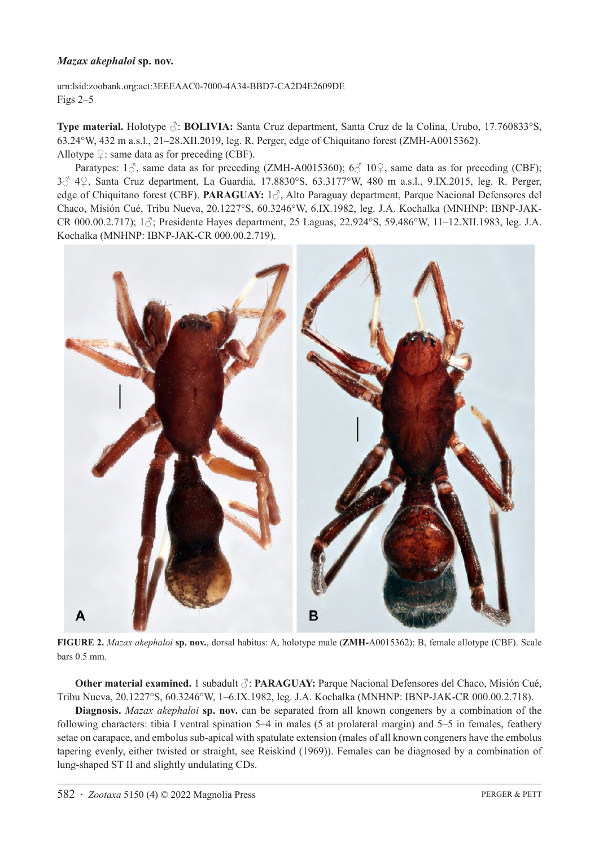## *Mazax akephaloi* **sp. nov.**

urn:lsid:zoobank.org:act:3EEEAAC0-7000-4A34-BBD7-CA2D4E2609DE Figs 2–5

**Type material.** Holotype ♂: **BOLIVIA:** Santa Cruz department, Santa Cruz de la Colina, Urubo, 17.760833°S, 63.24°W, 432 m a.s.l., 21–28.XII.2019, leg. R. Perger, edge of Chiquitano forest (ZMH-A0015362). Allotype  $\varphi$ : same data as for preceding (CBF).

Paratypes:  $1\textdegree$ , same data as for preceding (ZMH-A0015360);  $6\textdegree$  10 $\textdegree$ , same data as for preceding (CBF); 3♂ 4♀, Santa Cruz department, La Guardia, 17.8830°S, 63.3177°W, 480 m a.s.l., 9.IX.2015, leg. R. Perger, edge of Chiquitano forest (CBF). **PARAGUAY:** 1♂, Alto Paraguay department, Parque Nacional Defensores del Chaco, Misión Cué, Tribu Nueva, 20.1227°S, 60.3246°W, 6.IX.1982, leg. J.A. Kochalka (MNHNP: IBNP-JAK-CR 000.00.2.717); 1♂; Presidente Hayes department, 25 Laguas, 22.924°S, 59.486°W, 11–12.XII.1983, leg. J.A. Kochalka (MNHNP: IBNP-JAK-CR 000.00.2.719).



**FIGURE 2.** *Mazax akephaloi* **sp. nov.**, dorsal habitus: A, holotype male (**ZMH-**A0015362); B, female allotype (CBF). Scale bars 0.5 mm.

**Other material examined.** 1 subadult ♂: **PARAGUAY:** Parque Nacional Defensores del Chaco, Misión Cué, Tribu Nueva, 20.1227°S, 60.3246°W, 1–6.IX.1982, leg. J.A. Kochalka (MNHNP: IBNP-JAK-CR 000.00.2.718).

**Diagnosis.** *Mazax akephaloi* **sp. nov.** can be separated from all known congeners by a combination of the following characters: tibia I ventral spination 5–4 in males (5 at prolateral margin) and 5–5 in females, feathery setae on carapace, and embolus sub-apical with spatulate extension (males of all known congeners have the embolus tapering evenly, either twisted or straight, see Reiskind (1969)). Females can be diagnosed by a combination of lung-shaped ST II and slightly undulating CDs.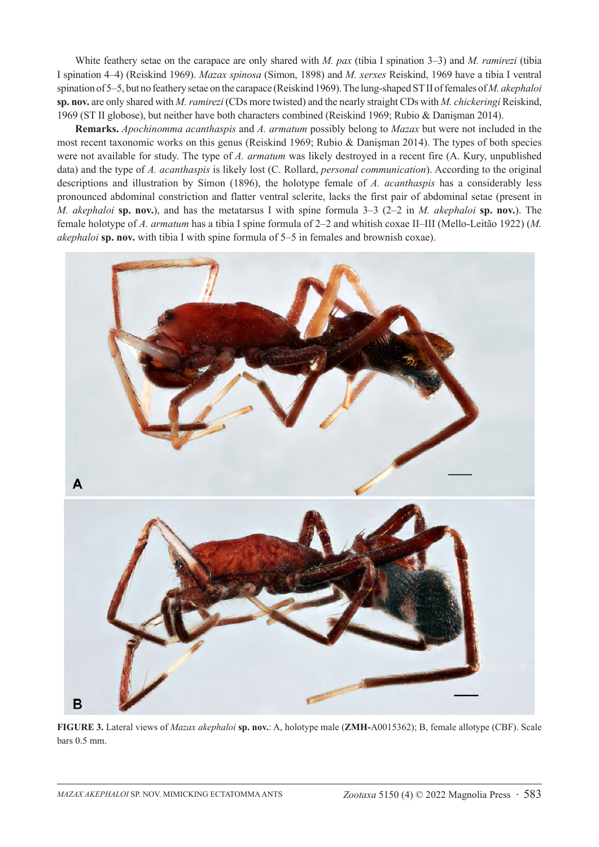White feathery setae on the carapace are only shared with *M. pax* (tibia I spination 3–3) and *M. ramirezi* (tibia I spination 4–4) (Reiskind 1969). *Mazax spinosa* (Simon, 1898) and *M. xerxes* Reiskind, 1969 have a tibia I ventral spination of 5–5, but no feathery setae on the carapace (Reiskind 1969). The lung-shaped ST II of females of *M. akephaloi* **sp. nov.** are only shared with *M. ramirezi* (CDs more twisted) and the nearly straight CDs with *M. chickeringi* Reiskind, 1969 (ST II globose), but neither have both characters combined (Reiskind 1969; Rubio & Danişman 2014).

**Remarks.** *Apochinomma acanthaspis* and *A. armatum* possibly belong to *Mazax* but were not included in the most recent taxonomic works on this genus (Reiskind 1969; Rubio & Danişman 2014). The types of both species were not available for study. The type of *A. armatum* was likely destroyed in a recent fire (A. Kury, unpublished data) and the type of *A. acanthaspis* is likely lost (C. Rollard, *personal communication*). According to the original descriptions and illustration by Simon (1896), the holotype female of *A. acanthaspis* has a considerably less pronounced abdominal constriction and flatter ventral sclerite, lacks the first pair of abdominal setae (present in *M. akephaloi* **sp. nov.**), and has the metatarsus I with spine formula 3–3 (2–2 in *M. akephaloi* **sp. nov.**). The female holotype of *A. armatum* has a tibia I spine formula of 2–2 and whitish coxae II–III (Mello-Leitão 1922) (*M. akephaloi* **sp. nov.** with tibia I with spine formula of 5–5 in females and brownish coxae).



**FIGURE 3.** Lateral views of *Mazax akephaloi* **sp. nov.**: A, holotype male (**ZMH-**A0015362); B, female allotype (CBF). Scale bars 0.5 mm.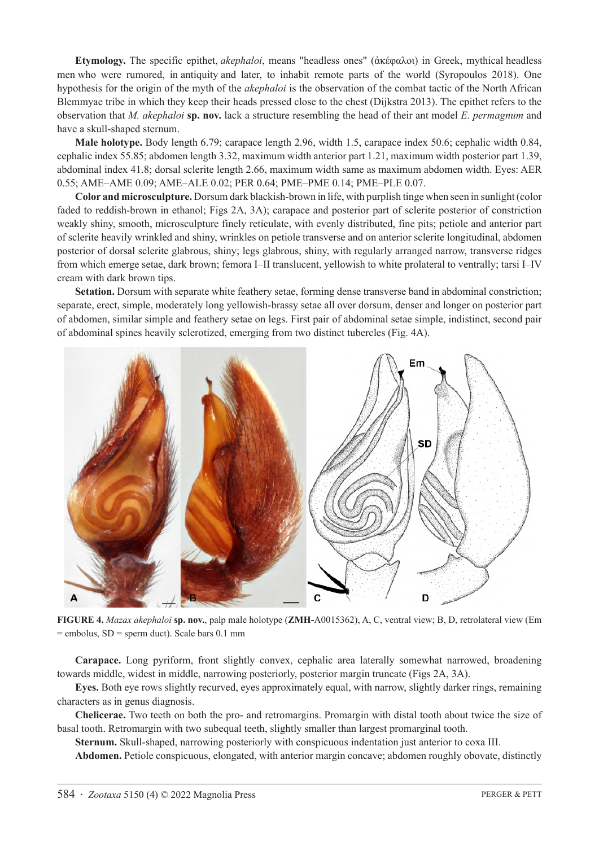**Etymology.** The specific epithet, *akephaloi*, means "headless ones" (ἀκέφαλοι) in Greek, mythical headless men who were rumored, in antiquity and later, to inhabit remote parts of the world (Syropoulos 2018). One hypothesis for the origin of the myth of the *akephaloi* is the observation of the combat tactic of the North African Blemmyae tribe in which they keep their heads pressed close to the chest (Dijkstra 2013). The epithet refers to the observation that *M. akephaloi* **sp. nov.** lack a structure resembling the head of their ant model *E. permagnum* and have a skull-shaped sternum.

**Male holotype.** Body length 6.79; carapace length 2.96, width 1.5, carapace index 50.6; cephalic width 0.84, cephalic index 55.85; abdomen length 3.32, maximum width anterior part 1.21, maximum width posterior part 1.39, abdominal index 41.8; dorsal sclerite length 2.66, maximum width same as maximum abdomen width. Eyes: AER 0.55; AME–AME 0.09; AME–ALE 0.02; PER 0.64; PME–PME 0.14; PME–PLE 0.07.

**Color and microsculpture.** Dorsum dark blackish-brown in life, with purplish tinge when seen in sunlight (color faded to reddish-brown in ethanol; Figs 2A, 3A); carapace and posterior part of sclerite posterior of constriction weakly shiny, smooth, microsculpture finely reticulate, with evenly distributed, fine pits; petiole and anterior part of sclerite heavily wrinkled and shiny, wrinkles on petiole transverse and on anterior sclerite longitudinal, abdomen posterior of dorsal sclerite glabrous, shiny; legs glabrous, shiny, with regularly arranged narrow, transverse ridges from which emerge setae, dark brown; femora I–II translucent, yellowish to white prolateral to ventrally; tarsi I–IV cream with dark brown tips.

**Setation.** Dorsum with separate white feathery setae, forming dense transverse band in abdominal constriction; separate, erect, simple, moderately long yellowish-brassy setae all over dorsum, denser and longer on posterior part of abdomen, similar simple and feathery setae on legs. First pair of abdominal setae simple, indistinct, second pair of abdominal spines heavily sclerotized, emerging from two distinct tubercles (Fig. 4A).



**FIGURE 4.** *Mazax akephaloi* **sp. nov.**, palp male holotype (**ZMH-**A0015362), A, C, ventral view; B, D, retrolateral view (Em  $=$  embolus, SD  $=$  sperm duct). Scale bars 0.1 mm

**Carapace.** Long pyriform, front slightly convex, cephalic area laterally somewhat narrowed, broadening towards middle, widest in middle, narrowing posteriorly, posterior margin truncate (Figs 2A, 3A).

**Eyes.** Both eye rows slightly recurved, eyes approximately equal, with narrow, slightly darker rings, remaining characters as in genus diagnosis.

**Chelicerae.** Two teeth on both the pro- and retromargins. Promargin with distal tooth about twice the size of basal tooth. Retromargin with two subequal teeth, slightly smaller than largest promarginal tooth.

**Sternum.** Skull-shaped, narrowing posteriorly with conspicuous indentation just anterior to coxa III.

**Abdomen.** Petiole conspicuous, elongated, with anterior margin concave; abdomen roughly obovate, distinctly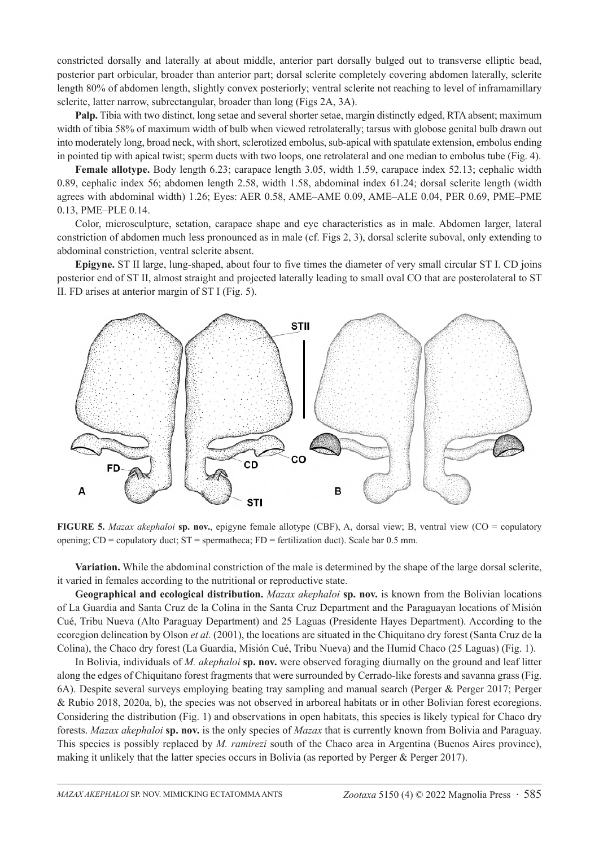constricted dorsally and laterally at about middle, anterior part dorsally bulged out to transverse elliptic bead, posterior part orbicular, broader than anterior part; dorsal sclerite completely covering abdomen laterally, sclerite length 80% of abdomen length, slightly convex posteriorly; ventral sclerite not reaching to level of inframamillary sclerite, latter narrow, subrectangular, broader than long (Figs 2A, 3A).

**Palp.** Tibia with two distinct, long setae and several shorter setae, margin distinctly edged, RTA absent; maximum width of tibia 58% of maximum width of bulb when viewed retrolaterally; tarsus with globose genital bulb drawn out into moderately long, broad neck, with short, sclerotized embolus, sub-apical with spatulate extension, embolus ending in pointed tip with apical twist; sperm ducts with two loops, one retrolateral and one median to embolus tube (Fig. 4).

**Female allotype.** Body length 6.23; carapace length 3.05, width 1.59, carapace index 52.13; cephalic width 0.89, cephalic index 56; abdomen length 2.58, width 1.58, abdominal index 61.24; dorsal sclerite length (width agrees with abdominal width) 1.26; Eyes: AER 0.58, AME–AME 0.09, AME–ALE 0.04, PER 0.69, PME–PME 0.13, PME–PLE 0.14.

Color, microsculpture, setation, carapace shape and eye characteristics as in male. Abdomen larger, lateral constriction of abdomen much less pronounced as in male (cf. Figs 2, 3), dorsal sclerite suboval, only extending to abdominal constriction, ventral sclerite absent.

**Epigyne.** ST II large, lung-shaped, about four to five times the diameter of very small circular ST I. CD joins posterior end of ST II, almost straight and projected laterally leading to small oval CO that are posterolateral to ST II. FD arises at anterior margin of ST I (Fig. 5).



**FIGURE 5.** *Mazax akephaloi* **sp. nov.**, epigyne female allotype (CBF), A, dorsal view; B, ventral view (CO = copulatory opening;  $CD =$  copulatory duct;  $ST =$  spermatheca;  $FD =$  fertilization duct). Scale bar 0.5 mm.

**Variation.** While the abdominal constriction of the male is determined by the shape of the large dorsal sclerite, it varied in females according to the nutritional or reproductive state.

**Geographical and ecological distribution.** *Mazax akephaloi* **sp. nov.** is known from the Bolivian locations of La Guardia and Santa Cruz de la Colina in the Santa Cruz Department and the Paraguayan locations of Misión Cué, Tribu Nueva (Alto Paraguay Department) and 25 Laguas (Presidente Hayes Department). According to the ecoregion delineation by Olson *et al.* (2001), the locations are situated in the Chiquitano dry forest (Santa Cruz de la Colina), the Chaco dry forest (La Guardia, Misión Cué, Tribu Nueva) and the Humid Chaco (25 Laguas) (Fig. 1).

In Bolivia, individuals of *M. akephaloi* **sp. nov.** were observed foraging diurnally on the ground and leaf litter along the edges of Chiquitano forest fragments that were surrounded by Cerrado-like forests and savanna grass (Fig. 6A). Despite several surveys employing beating tray sampling and manual search (Perger & Perger 2017; Perger & Rubio 2018, 2020a, b), the species was not observed in arboreal habitats or in other Bolivian forest ecoregions. Considering the distribution (Fig. 1) and observations in open habitats, this species is likely typical for Chaco dry forests. *Mazax akephaloi* **sp. nov.** is the only species of *Mazax* that is currently known from Bolivia and Paraguay. This species is possibly replaced by *M. ramirezi* south of the Chaco area in Argentina (Buenos Aires province), making it unlikely that the latter species occurs in Bolivia (as reported by Perger & Perger 2017).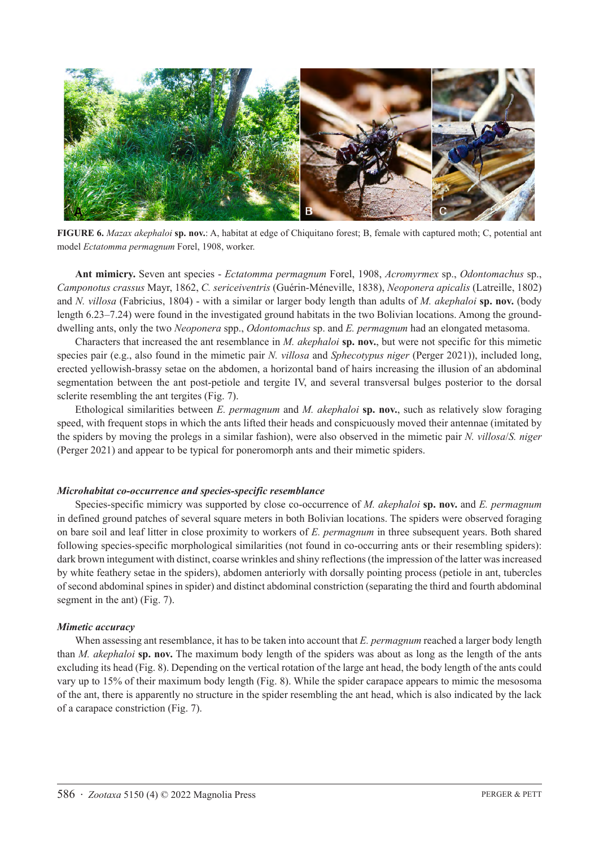

**FIGURE 6.** *Mazax akephaloi* **sp. nov.**: A, habitat at edge of Chiquitano forest; B, female with captured moth; C, potential ant model *Ectatomma permagnum* Forel, 1908, worker.

**Ant mimicry.** Seven ant species - *Ectatomma permagnum* Forel, 1908, *Acromyrmex* sp., *Odontomachus* sp., *Camponotus crassus* Mayr, 1862, *C. sericeiventris* (Guérin-Méneville, 1838), *Neoponera apicalis* (Latreille, 1802) and *N. villosa* (Fabricius, 1804) - with a similar or larger body length than adults of *M. akephaloi* **sp. nov.** (body length 6.23–7.24) were found in the investigated ground habitats in the two Bolivian locations. Among the grounddwelling ants, only the two *Neoponera* spp., *Odontomachus* sp. and *E. permagnum* had an elongated metasoma.

Characters that increased the ant resemblance in *M. akephaloi* **sp. nov.**, but were not specific for this mimetic species pair (e.g., also found in the mimetic pair *N. villosa* and *Sphecotypus niger* (Perger 2021)), included long, erected yellowish-brassy setae on the abdomen, a horizontal band of hairs increasing the illusion of an abdominal segmentation between the ant post-petiole and tergite IV, and several transversal bulges posterior to the dorsal sclerite resembling the ant tergites (Fig. 7).

Ethological similarities between *E. permagnum* and *M. akephaloi* **sp. nov.**, such as relatively slow foraging speed, with frequent stops in which the ants lifted their heads and conspicuously moved their antennae (imitated by the spiders by moving the prolegs in a similar fashion), were also observed in the mimetic pair *N. villosa*/*S. niger*  (Perger 2021) and appear to be typical for poneromorph ants and their mimetic spiders.

#### *Microhabitat co-occurrence and species-specific resemblance*

Species-specific mimicry was supported by close co-occurrence of *M. akephaloi* **sp. nov.** and *E. permagnum* in defined ground patches of several square meters in both Bolivian locations. The spiders were observed foraging on bare soil and leaf litter in close proximity to workers of *E. permagnum* in three subsequent years. Both shared following species-specific morphological similarities (not found in co-occurring ants or their resembling spiders): dark brown integument with distinct, coarse wrinkles and shiny reflections (the impression of the latter was increased by white feathery setae in the spiders), abdomen anteriorly with dorsally pointing process (petiole in ant, tubercles of second abdominal spines in spider) and distinct abdominal constriction (separating the third and fourth abdominal segment in the ant) (Fig. 7).

#### *Mimetic accuracy*

When assessing ant resemblance, it has to be taken into account that *E. permagnum* reached a larger body length than *M. akephaloi* **sp. nov.** The maximum body length of the spiders was about as long as the length of the ants excluding its head (Fig. 8). Depending on the vertical rotation of the large ant head, the body length of the ants could vary up to 15% of their maximum body length (Fig. 8). While the spider carapace appears to mimic the mesosoma of the ant, there is apparently no structure in the spider resembling the ant head, which is also indicated by the lack of a carapace constriction (Fig. 7).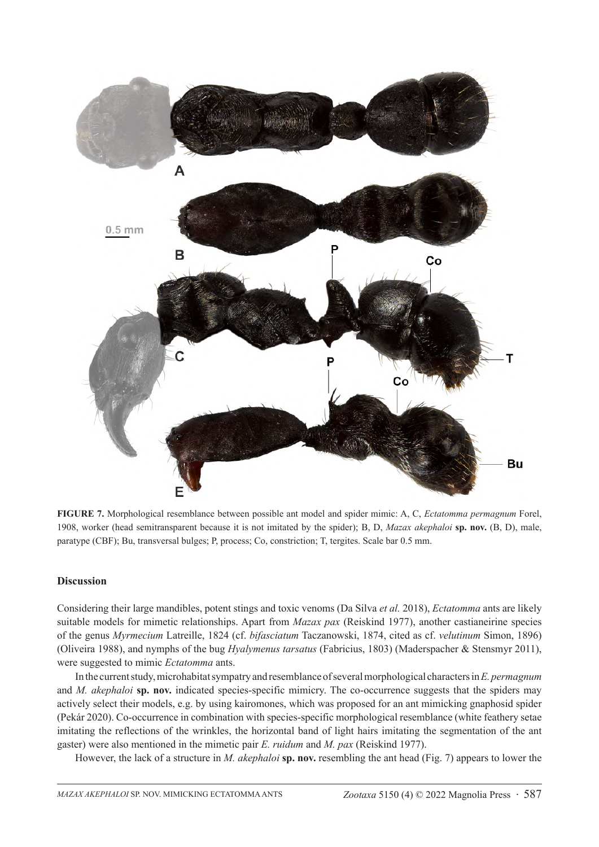

**FIGURE 7.** Morphological resemblance between possible ant model and spider mimic: A, C, *Ectatomma permagnum* Forel, 1908, worker (head semitransparent because it is not imitated by the spider); B, D, *Mazax akephaloi* **sp. nov.** (B, D), male, paratype (CBF); Bu, transversal bulges; P, process; Co, constriction; T, tergites. Scale bar 0.5 mm.

# **Discussion**

Considering their large mandibles, potent stings and toxic venoms (Da Silva *et al.* 2018), *Ectatomma* ants are likely suitable models for mimetic relationships. Apart from *Mazax pax* (Reiskind 1977), another castianeirine species of the genus *Myrmecium* Latreille, 1824 (cf. *bifasciatum* Taczanowski, 1874, cited as cf. *velutinum* Simon, 1896) (Oliveira 1988), and nymphs of the bug *Hyalymenus tarsatus* (Fabricius, 1803) (Maderspacher & Stensmyr 2011), were suggested to mimic *Ectatomma* ants.

In the current study, microhabitat sympatry and resemblance of several morphological characters in *E. permagnum* and *M. akephaloi* **sp. nov.** indicated species-specific mimicry. The co-occurrence suggests that the spiders may actively select their models, e.g. by using kairomones, which was proposed for an ant mimicking gnaphosid spider (Pekár 2020). Co-occurrence in combination with species-specific morphological resemblance (white feathery setae imitating the reflections of the wrinkles, the horizontal band of light hairs imitating the segmentation of the ant gaster) were also mentioned in the mimetic pair *E. ruidum* and *M. pax* (Reiskind 1977).

However, the lack of a structure in *M. akephaloi* **sp. nov.** resembling the ant head (Fig. 7) appears to lower the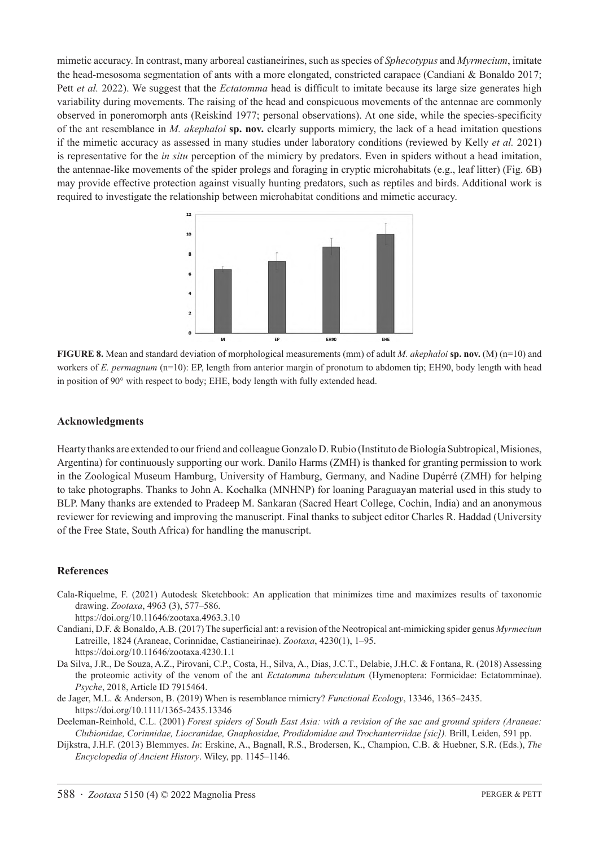mimetic accuracy. In contrast, many arboreal castianeirines, such as species of *Sphecotypus* and *Myrmecium*, imitate the head-mesosoma segmentation of ants with a more elongated, constricted carapace (Candiani & Bonaldo 2017; Pett *et al.* 2022). We suggest that the *Ectatomma* head is difficult to imitate because its large size generates high variability during movements. The raising of the head and conspicuous movements of the antennae are commonly observed in poneromorph ants (Reiskind 1977; personal observations). At one side, while the species-specificity of the ant resemblance in *M. akephaloi* **sp. nov.** clearly supports mimicry, the lack of a head imitation questions if the mimetic accuracy as assessed in many studies under laboratory conditions (reviewed by Kelly *et al.* 2021) is representative for the *in situ* perception of the mimicry by predators. Even in spiders without a head imitation, the antennae-like movements of the spider prolegs and foraging in cryptic microhabitats (e.g., leaf litter) (Fig. 6B) may provide effective protection against visually hunting predators, such as reptiles and birds. Additional work is required to investigate the relationship between microhabitat conditions and mimetic accuracy.



**FIGURE 8.** Mean and standard deviation of morphological measurements (mm) of adult *M. akephaloi* **sp. nov.** (M) (n=10) and workers of *E. permagnum* (n=10): EP, length from anterior margin of pronotum to abdomen tip; EH90, body length with head in position of 90° with respect to body; EHE, body length with fully extended head.

### **Acknowledgments**

Hearty thanks are extended to our friend and colleague Gonzalo D. Rubio (Instituto de Biología Subtropical, Misiones, Argentina) for continuously supporting our work. Danilo Harms (ZMH) is thanked for granting permission to work in the Zoological Museum Hamburg, University of Hamburg, Germany, and Nadine Dupérré (ZMH) for helping to take photographs. Thanks to John A. Kochalka (MNHNP) for loaning Paraguayan material used in this study to BLP. Many thanks are extended to Pradeep M. Sankaran (Sacred Heart College, Cochin, India) and an anonymous reviewer for reviewing and improving the manuscript. Final thanks to subject editor Charles R. Haddad (University of the Free State, South Africa) for handling the manuscript.

#### **References**

Cala-Riquelme, F. (2021) Autodesk Sketchbook: An application that minimizes time and maximizes results of taxonomic drawing. *Zootaxa*, 4963 (3), 577–586.

https://doi.org/10.11646/zootaxa.4963.3.10

- Candiani, D.F. & Bonaldo, A.B. (2017) The superficial ant: a revision of the Neotropical ant-mimicking spider genus *Myrmecium* Latreille, 1824 (Araneae, Corinnidae, Castianeirinae). *Zootaxa*, 4230(1), 1–95. https://doi.org/10.11646/zootaxa.4230.1.1
- Da Silva, J.R., De Souza, A.Z., Pirovani, C.P., Costa, H., Silva, A., Dias, J.C.T., Delabie, J.H.C. & Fontana, R. (2018) Assessing the proteomic activity of the venom of the ant *Ectatomma tuberculatum* (Hymenoptera: Formicidae: Ectatomminae). *Psyche*, 2018, Article ID 7915464.

de Jager, M.L. & Anderson, B. (2019) When is resemblance mimicry? *Functional Ecology*, 13346, 1365–2435. https://doi.org/10.1111/1365-2435.13346

Deeleman-Reinhold, C.L. (2001) *Forest spiders of South East Asia: with a revision of the sac and ground spiders (Araneae: Clubionidae, Corinnidae, Liocranidae, Gnaphosidae, Prodidomidae and Trochanterriidae [sic]).* Brill, Leiden, 591 pp.

Dijkstra, J.H.F. (2013) Blemmyes. *In*: Erskine, A., Bagnall, R.S., Brodersen, K., Champion, C.B. & Huebner, S.R. (Eds.), *The Encyclopedia of Ancient History*. Wiley, pp. 1145–1146.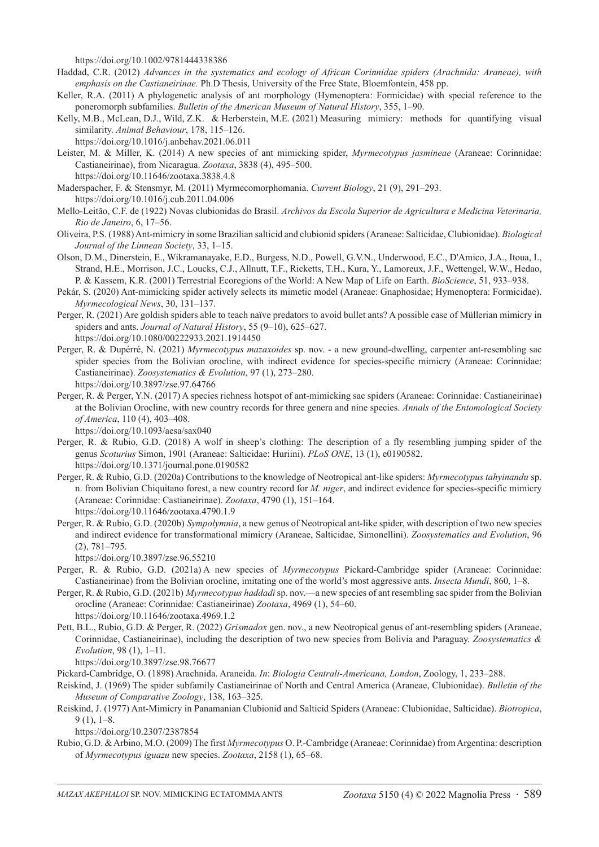https://doi.org/10.1002/9781444338386

- Haddad, C.R. (2012) *Advances in the systematics and ecology of African Corinnidae spiders (Arachnida: Araneae), with emphasis on the Castianeirinae.* Ph.D Thesis, University of the Free State, Bloemfontein, 458 pp.
- Keller, R.A. (2011) A phylogenetic analysis of ant morphology (Hymenoptera: Formicidae) with special reference to the poneromorph subfamilies. *Bulletin of the American Museum of Natural History*, 355, 1–90.
- Kelly, M.B., McLean, D.J., Wild, Z.K. & Herberstein, M.E. (2021) Measuring mimicry: methods for quantifying visual similarity. *Animal Behaviour*, 178, 115–126.
- https://doi.org/10.1016/j.anbehav.2021.06.011
- Leister, M. & Miller, K. (2014) A new species of ant mimicking spider, *Myrmecotypus jasmineae* (Araneae: Corinnidae: Castianeirinae), from Nicaragua. *Zootaxa*, 3838 (4), 495–500. https://doi.org/10.11646/zootaxa.3838.4.8
- Maderspacher, F. & Stensmyr, M. (2011) Myrmecomorphomania. *Current Biology*, 21 (9), 291–293. https://doi.org/10.1016/j.cub.2011.04.006
- Mello-Leitão, C.F. de (1922) Novas clubionidas do Brasil. *Archivos da Escola Superior de Agricultura e Medicina Veterinaria, Rio de Janeiro*, 6, 17–56.
- Oliveira, P.S. (1988) Ant-mimicry in some Brazilian salticid and clubionid spiders (Araneae: Salticidae, Clubionidae). *Biological Journal of the Linnean Society*, 33, 1–15.
- Olson, D.M., Dinerstein, E., Wikramanayake, E.D., Burgess, N.D., Powell, G.V.N., Underwood, E.C., D'Amico, J.A., Itoua, I., Strand, H.E., Morrison, J.C., Loucks, C.J., Allnutt, T.F., Ricketts, T.H., Kura, Y., Lamoreux, J.F., Wettengel, W.W., Hedao, P. & Kassem, K.R. (2001) Terrestrial Ecoregions of the World: A New Map of Life on Earth. *BioScience*, 51, 933–938.
- Pekár, S. (2020) Ant-mimicking spider actively selects its mimetic model (Araneae: Gnaphosidae; Hymenoptera: Formicidae). *Myrmecological News*, 30, 131–137.
- Perger, R. (2021) Are goldish spiders able to teach naïve predators to avoid bullet ants? A possible case of Müllerian mimicry in spiders and ants. *Journal of Natural History*, 55 (9–10), 625–627. https://doi.org/10.1080/00222933.2021.1914450
- Perger, R. & Dupérré, N. (2021) *Myrmecotypus mazaxoides* sp. nov. a new ground-dwelling, carpenter ant-resembling sac spider species from the Bolivian orocline, with indirect evidence for species-specific mimicry (Araneae: Corinnidae: Castianeirinae). *Zoosystematics & Evolution*, 97 (1), 273–280. https://doi.org/10.3897/zse.97.64766
- Perger, R. & Perger, Y.N. (2017) A species richness hotspot of ant-mimicking sac spiders (Araneae: Corinnidae: Castianeirinae) at the Bolivian Orocline, with new country records for three genera and nine species. *Annals of the Entomological Society of America*, 110 (4), 403–408.

https://doi.org/10.1093/aesa/sax040

- Perger, R. & Rubio, G.D. (2018) A wolf in sheep's clothing: The description of a fly resembling jumping spider of the genus *Scoturius* Simon, 1901 (Araneae: Salticidae: Huriini). *PLoS ONE*, 13 (1), e0190582. https://doi.org/10.1371/journal.pone.0190582
- Perger, R. & Rubio, G.D. (2020a) Contributions to the knowledge of Neotropical ant-like spiders: *Myrmecotypus tahyinandu* sp. n. from Bolivian Chiquitano forest, a new country record for *M. niger*, and indirect evidence for species-specific mimicry (Araneae: Corinnidae: Castianeirinae). *Zootaxa*, 4790 (1), 151–164. https://doi.org/10.11646/zootaxa.4790.1.9
- Perger, R. & Rubio, G.D. (2020b) *Sympolymnia*, a new genus of Neotropical ant-like spider, with description of two new species and indirect evidence for transformational mimicry (Araneae, Salticidae, Simonellini). *Zoosystematics and Evolution*, 96 (2), 781–795.

https://doi.org/10.3897/zse.96.55210

- Perger, R. & Rubio, G.D. (2021a) A new species of *Myrmecotypus* Pickard-Cambridge spider (Araneae: Corinnidae: Castianeirinae) from the Bolivian orocline, imitating one of the world's most aggressive ants. *Insecta Mundi*, 860, 1–8.
- Perger, R. & Rubio, G.D. (2021b) *Myrmecotypus haddadi* sp. nov.—a new species of ant resembling sac spider from the Bolivian orocline (Araneae: Corinnidae: Castianeirinae) *Zootaxa*, 4969 (1), 54–60. https://doi.org/10.11646/zootaxa.4969.1.2
- Pett, B.L., Rubio, G.D. & Perger, R. (2022) *Grismadox* gen. nov., a new Neotropical genus of ant-resembling spiders (Araneae, Corinnidae, Castianeirinae), including the description of two new species from Bolivia and Paraguay. *Zoosystematics & Evolution*, 98 (1), 1–11.

https://doi.org/10.3897/zse.98.76677

Pickard-Cambridge, O. (1898) Arachnida. Araneida. *In*: *Biologia Centrali-Americana, London*, Zoology, 1, 233–288.

- Reiskind, J. (1969) The spider subfamily Castianeirinae of North and Central America (Araneae, Clubionidae). *Bulletin of the Museum of Comparative Zoology*, 138, 163–325.
- Reiskind, J. (1977) Ant-Mimicry in Panamanian Clubionid and Salticid Spiders (Araneae: Clubionidae, Salticidae). *Biotropica*, 9 (1), 1–8.

https://doi.org/10.2307/2387854

Rubio, G.D. & Arbino, M.O. (2009) The first *Myrmecotypus* O. P.-Cambridge (Araneae: Corinnidae) from Argentina: description of *Myrmecotypus iguazu* new species. *Zootaxa*, 2158 (1), 65–68.